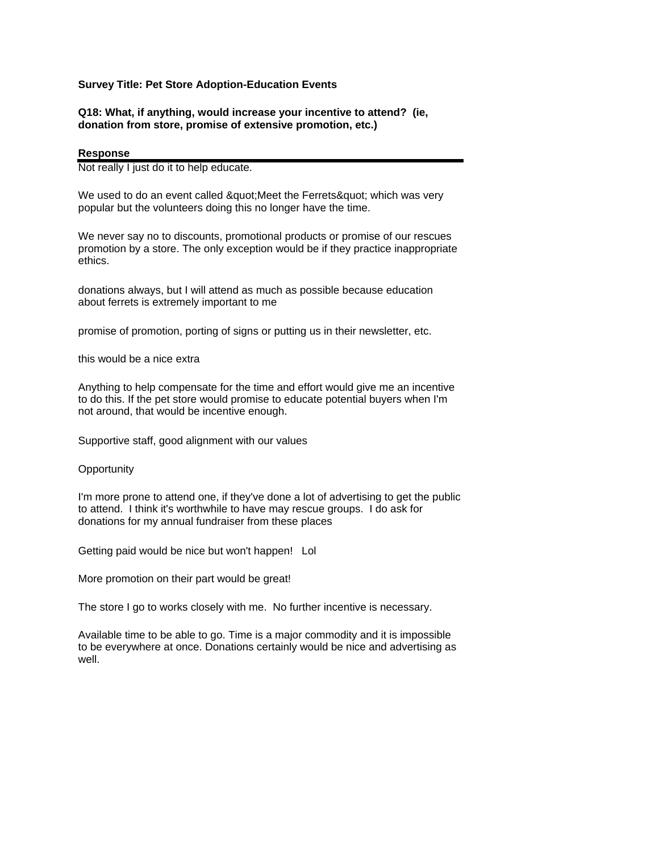## **Survey Title: Pet Store Adoption-Education Events**

## **Q18: What, if anything, would increase your incentive to attend? (ie, donation from store, promise of extensive promotion, etc.)**

## **Response**

Not really I just do it to help educate.

We used to do an event called & quot; Meet the Ferrets & quot; which was very popular but the volunteers doing this no longer have the time.

We never say no to discounts, promotional products or promise of our rescues promotion by a store. The only exception would be if they practice inappropriate ethics.

donations always, but I will attend as much as possible because education about ferrets is extremely important to me

promise of promotion, porting of signs or putting us in their newsletter, etc.

this would be a nice extra

Anything to help compensate for the time and effort would give me an incentive to do this. If the pet store would promise to educate potential buyers when I'm not around, that would be incentive enough.

Supportive staff, good alignment with our values

**Opportunity** 

I'm more prone to attend one, if they've done a lot of advertising to get the public to attend. I think it's worthwhile to have may rescue groups. I do ask for donations for my annual fundraiser from these places

Getting paid would be nice but won't happen! Lol

More promotion on their part would be great!

The store I go to works closely with me. No further incentive is necessary.

Available time to be able to go. Time is a major commodity and it is impossible to be everywhere at once. Donations certainly would be nice and advertising as well.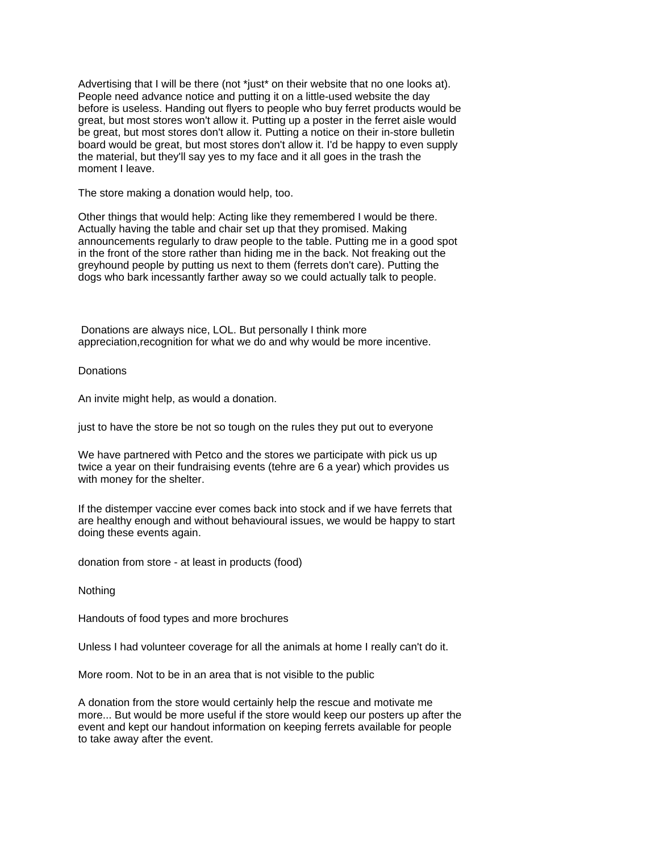Advertising that I will be there (not \*just\* on their website that no one looks at). People need advance notice and putting it on a little-used website the day before is useless. Handing out flyers to people who buy ferret products would be great, but most stores won't allow it. Putting up a poster in the ferret aisle would be great, but most stores don't allow it. Putting a notice on their in-store bulletin board would be great, but most stores don't allow it. I'd be happy to even supply the material, but they'll say yes to my face and it all goes in the trash the moment I leave.

The store making a donation would help, too.

Other things that would help: Acting like they remembered I would be there. Actually having the table and chair set up that they promised. Making announcements regularly to draw people to the table. Putting me in a good spot in the front of the store rather than hiding me in the back. Not freaking out the greyhound people by putting us next to them (ferrets don't care). Putting the dogs who bark incessantly farther away so we could actually talk to people.

 Donations are always nice, LOL. But personally I think more appreciation,recognition for what we do and why would be more incentive.

**Donations** 

An invite might help, as would a donation.

just to have the store be not so tough on the rules they put out to everyone

We have partnered with Petco and the stores we participate with pick us up twice a year on their fundraising events (tehre are 6 a year) which provides us with money for the shelter.

If the distemper vaccine ever comes back into stock and if we have ferrets that are healthy enough and without behavioural issues, we would be happy to start doing these events again.

donation from store - at least in products (food)

**Nothing** 

Handouts of food types and more brochures

Unless I had volunteer coverage for all the animals at home I really can't do it.

More room. Not to be in an area that is not visible to the public

A donation from the store would certainly help the rescue and motivate me more... But would be more useful if the store would keep our posters up after the event and kept our handout information on keeping ferrets available for people to take away after the event.